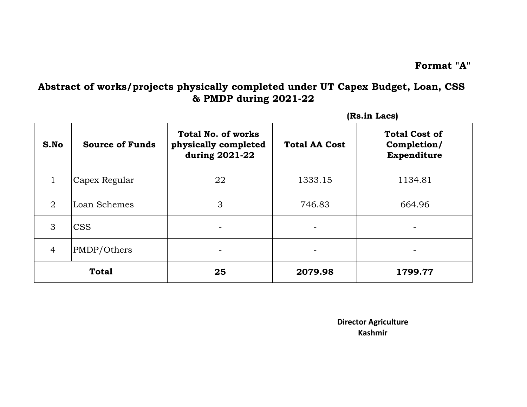## **Abstract of works/projects physically completed under UT Capex Budget, Loan, CSS & PMDP during 2021-22**

|                |                        |                                                                     |                      | (Rs.in Lacs)                                       |
|----------------|------------------------|---------------------------------------------------------------------|----------------------|----------------------------------------------------|
| S.No           | <b>Source of Funds</b> | <b>Total No. of works</b><br>physically completed<br>during 2021-22 | <b>Total AA Cost</b> | <b>Total Cost of</b><br>Completion/<br>Expenditure |
| $\mathbf{1}$   | Capex Regular          | 22                                                                  | 1333.15              | 1134.81                                            |
| $\overline{2}$ | Loan Schemes           | 3                                                                   | 746.83               | 664.96                                             |
| 3              | <b>CSS</b>             |                                                                     |                      |                                                    |
| $\overline{4}$ | PMDP/Others            |                                                                     |                      |                                                    |
|                | <b>Total</b>           | 25                                                                  | 2079.98              | 1799.77                                            |

**Kashmir Director Agriculture**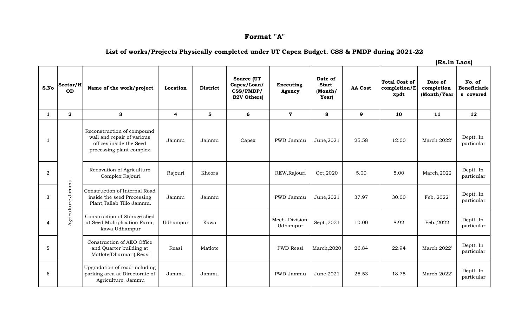## **Format "A"**

## **List of works/Projects Physically completed under UT Capex Budget. CSS & PMDP during 2021-22**

| S.No           | Sector/H<br><b>OD</b>   | Name of the work/project                                                                                         | Location                | <b>District</b> | Source (UT<br>Capex/Loan/<br>CSS/PMDP/<br><b>B2V Others)</b> | <b>Executing</b><br>Agency | Date of<br><b>Start</b><br>(Month/<br>Year) | <b>AA Cost</b> | <b>Total Cost of</b><br>completion/E<br>xpdt | Date of<br>completion<br>(Month/Year | No. of<br><b>Beneficiarie</b><br>s covered |
|----------------|-------------------------|------------------------------------------------------------------------------------------------------------------|-------------------------|-----------------|--------------------------------------------------------------|----------------------------|---------------------------------------------|----------------|----------------------------------------------|--------------------------------------|--------------------------------------------|
| $\mathbf{1}$   | $\overline{\mathbf{2}}$ | 3                                                                                                                | $\overline{\mathbf{4}}$ | 5               | 6                                                            | $\overline{7}$             | 8                                           | 9              | 10                                           | 11                                   | 12                                         |
| 1              |                         | Reconstruction of compound<br>wall and repair of various<br>offices inside the Seed<br>processing plant complex. | Jammu                   | Jammu           | Capex                                                        | PWD Jammu                  | June, 2021                                  | 25.58          | 12.00                                        | March 2022'                          | Deptt. In<br>particular                    |
| $\overline{2}$ |                         | Renovation of Agriculture<br>Complex Rajouri                                                                     | Rajouri                 | Kheora          |                                                              | REW, Rajouri               | Oct, 2020                                   | 5.00           | 5.00                                         | March, 2022                          | Deptt. In<br>particular                    |
| 3              | Agriculture Jammu       | Construction of Internal Road<br>inside the seed Processing<br>Plant, Tallab Tillo Jammu.                        | Jammu                   | Jammu           |                                                              | PWD Jammu                  | June, 2021                                  | 37.97          | 30.00                                        | Feb, 2022'                           | Deptt. In<br>particular                    |
| 4              |                         | Construction of Storage shed<br>at Seed Multiplication Farm,<br>kawa, Udhampur                                   | Udhampur                | Kawa            |                                                              | Mech. Division<br>Udhampur | Sept., 2021                                 | 10.00          | 8.92                                         | Feb., 2022                           | Deptt. In<br>particular                    |
| 5              |                         | Construction of AEO Office<br>and Quarter building at<br>Matlote(Dharmari), Reasi                                | Reasi                   | Matlote         |                                                              | PWD Reasi                  | March,2020                                  | 26.84          | 22.94                                        | <b>March 2022</b>                    | Deptt. In<br>particular                    |
| 6              |                         | Upgradation of road including<br>parking area at Directorate of<br>Agriculture, Jammu                            | Jammu                   | Jammu           |                                                              | PWD Jammu                  | June, 2021                                  | 25.53          | 18.75                                        | March 2022'                          | Deptt. In<br>particular                    |

**(Rs.in Lacs)**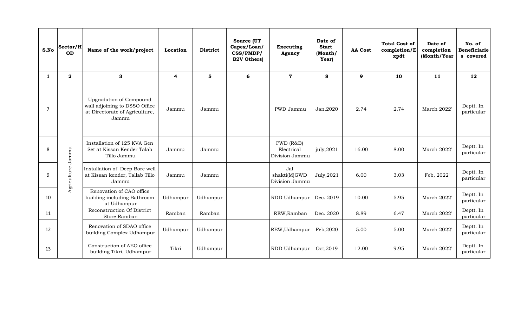| S.No         | Sector/H<br><b>OD</b>   | Name of the work/project                                                                                   | Location                | <b>District</b> | Source (UT<br>Capex/Loan/<br>CSS/PMDP/<br><b>B2V Others)</b> | Executing<br>Agency                       | Date of<br><b>Start</b><br>(Month/<br>Year) | <b>AA Cost</b> | <b>Total Cost of</b><br>completion/E<br>xpdt | Date of<br>completion<br>(Month/Year | No. of<br><b>Beneficiarie</b><br>s covered |
|--------------|-------------------------|------------------------------------------------------------------------------------------------------------|-------------------------|-----------------|--------------------------------------------------------------|-------------------------------------------|---------------------------------------------|----------------|----------------------------------------------|--------------------------------------|--------------------------------------------|
| $\mathbf{1}$ | $\overline{\mathbf{2}}$ | 3                                                                                                          | $\overline{\mathbf{4}}$ | 5               | 6                                                            | $\mathbf 7$                               | 8                                           | $\mathbf{9}$   | 10                                           | 11                                   | 12                                         |
| 7            |                         | <b>Upgradation of Compound</b><br>wall adjoining to DSSO Office<br>at Directorate of Agriculture,<br>Jammu | Jammu                   | Jammu           |                                                              | PWD Jammu                                 | Jan, 2020                                   | 2.74           | 2.74                                         | March 2022'                          | Deptt. In<br>particular                    |
| 8            | Jammu                   | Installation of 125 KVA Gen<br>Set at Kissan Kender Talab<br>Tillo Jammu                                   | Jammu                   | Jammu           |                                                              | PWD (R&B)<br>Electrical<br>Division Jammu | july,2021                                   | 16.00          | 8.00                                         | March 2022'                          | Deptt. In<br>particular                    |
| 9            | Agriculture             | Installation of Deep Bore well<br>at Kissan kender, Tallab Tillo<br>Jammu                                  | Jammu                   | Jammu           |                                                              | Jal<br>shakti(M)GWD<br>Division Jammu     | July, 2021                                  | 6.00           | 3.03                                         | Feb, 2022'                           | Deptt. In<br>particular                    |
| 10           |                         | Renovation of CAO office<br>building including Bathroom<br>at Udhampur                                     | Udhampur                | Udhampur        |                                                              | RDD Udhampur                              | Dec. 2019                                   | 10.00          | 5.95                                         | March 2022'                          | Deptt. In<br>particular                    |
| 11           |                         | Reconstruction Of District<br>Store Ramban                                                                 | Ramban                  | Ramban          |                                                              | REW, Ramban                               | Dec. 2020                                   | 8.89           | 6.47                                         | March 2022'                          | Deptt. In<br>particular                    |
| 12           |                         | Renovation of SDAO office<br>building Complex Udhampur                                                     | Udhampur                | Udhampur        |                                                              | REW, Udhampur                             | Feb, 2020                                   | 5.00           | 5.00                                         | March 2022'                          | Deptt. In<br>particular                    |
| 13           |                         | Construction of AEO office<br>building Tikri, Udhampur                                                     | Tikri                   | Udhampur        |                                                              | RDD Udhampur                              | Oct, 2019                                   | 12.00          | 9.95                                         | March 2022'                          | Deptt. In<br>particular                    |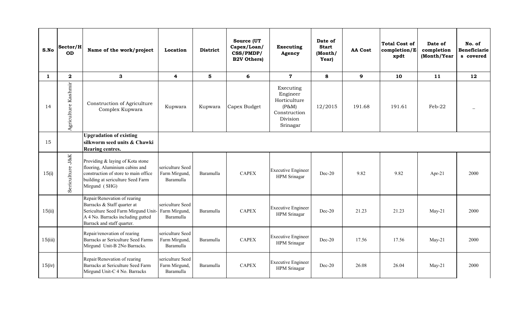| S.No    | Sector/H<br><b>OD</b> | Name of the work/project                                                                                                                                              | Location                                       | <b>District</b> | Source (UT<br>Capex/Loan/<br>CSS/PMDP/<br><b>B2V Others)</b> | <b>Executing</b><br>Agency                                                             | Date of<br><b>Start</b><br>(Month/<br>Year) | <b>AA Cost</b> | <b>Total Cost of</b><br>completion/E<br>xpdt | Date of<br>completion<br>(Month/Year | No. of<br><b>Beneficiarie</b><br>s covered |
|---------|-----------------------|-----------------------------------------------------------------------------------------------------------------------------------------------------------------------|------------------------------------------------|-----------------|--------------------------------------------------------------|----------------------------------------------------------------------------------------|---------------------------------------------|----------------|----------------------------------------------|--------------------------------------|--------------------------------------------|
| 1       | $\boldsymbol{2}$      | 3                                                                                                                                                                     | 4                                              | 5               | 6                                                            | $\mathbf 7$                                                                            | 8                                           | $\mathbf{9}$   | 10                                           | 11                                   | 12                                         |
| 14      | Agriculture Kashmir   | Construction of Agriculture<br>Complex Kupwara                                                                                                                        | Kupwara                                        | Kupwara         | Capex Budget                                                 | Executing<br>Engineer<br>Horticulture<br>(P&M)<br>Construction<br>Division<br>Srinagar | 12/2015                                     | 191.68         | 191.61                                       | Feb-22                               |                                            |
| 15      |                       | <b>Upgradation of existing</b><br>silkworm seed units & Chawki<br><b>Rearing centres.</b>                                                                             |                                                |                 |                                                              |                                                                                        |                                             |                |                                              |                                      |                                            |
| 15(i)   | Sericulture J&K       | Providing & laying of Kota stone<br>flooring, Aluminium cabins and<br>construction of store to main office<br>building at sericulture Seed Farm<br>Mirgund (SHG)      | sericulture Seed<br>Farm Mirgund,<br>Baramulla | Baramulla       | <b>CAPEX</b>                                                 | <b>Executive Engineer</b><br>HPM Srinagar                                              | $Dec-20$                                    | 9.82           | 9.82                                         | Apr-21                               | 2000                                       |
| 15(ii)  |                       | Repair/Renovation of rearing<br>Barracks & Staff quarter at<br>Sericulture Seed Farm Mirgund Unit-<br>A 4 No. Barracks including gutted<br>Barrack and staff quarter. | sericulture Seed<br>Farm Mirgund,<br>Baramulla | Baramulla       | <b>CAPEX</b>                                                 | <b>Executive Engineer</b><br>HPM Srinagar                                              | $Dec-20$                                    | 21.23          | 21.23                                        | $May-21$                             | 2000                                       |
| 15(iii) |                       | Repair/renovation of rearing<br>Barracks ar Sericulture Seed Farms<br>Mirgund Unit-B 2No Barracks.                                                                    | sericulture Seed<br>Farm Mirgund,<br>Baramulla | Baramulla       | <b>CAPEX</b>                                                 | <b>Executive Engineer</b><br>HPM Srinagar                                              | $Dec-20$                                    | 17.56          | 17.56                                        | $May-21$                             | 2000                                       |
| 15(iv)  |                       | Repair/Renovation of rearing<br>Barracks at Sericulture Seed Farm<br>Mirgund Unit-C 4 No. Barracks                                                                    | sericulture Seed<br>Farm Mirgund,<br>Baramulla | Baramulla       | <b>CAPEX</b>                                                 | <b>Executive Engineer</b><br>HPM Srinagar                                              | $Dec-20$                                    | 26.08          | 26.04                                        | $May-21$                             | 2000                                       |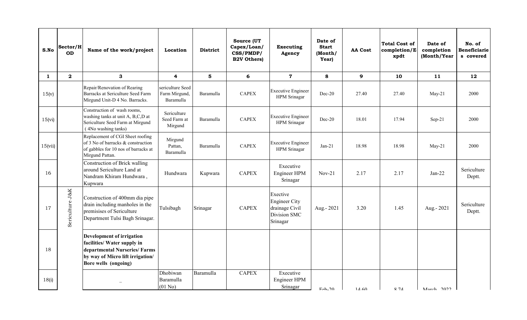| S.No    | Sector/H<br><b>OD</b>   | Name of the work/project                                                                                                                             | Location                                       | <b>District</b> | Source (UT<br>Capex/Loan/<br>CSS/PMDP/<br><b>B2V Others)</b> | <b>Executing</b><br>Agency                                                     | Date of<br><b>Start</b><br>(Month/<br>Year) | <b>AA Cost</b> | <b>Total Cost of</b><br>completion/E<br>xpdt | Date of<br>completion<br>(Month/Year | No. of<br><b>Beneficiarie</b><br>s covered |
|---------|-------------------------|------------------------------------------------------------------------------------------------------------------------------------------------------|------------------------------------------------|-----------------|--------------------------------------------------------------|--------------------------------------------------------------------------------|---------------------------------------------|----------------|----------------------------------------------|--------------------------------------|--------------------------------------------|
| 1       | $\overline{\mathbf{2}}$ | 3                                                                                                                                                    | 4                                              | 5               | 6                                                            | $\mathbf 7$                                                                    | 8                                           | $\mathbf{9}$   | 10                                           | 11                                   | 12                                         |
| 15(v)   |                         | Repair/Renovation of Rearing<br>Barracks at Sericulture Seed Farm<br>Mirgund Unit-D 4 No. Barracks.                                                  | sericulture Seed<br>Farm Mirgund,<br>Baramulla | Baramulla       | <b>CAPEX</b>                                                 | <b>Executive Engineer</b><br>HPM Srinagar                                      | $Dec-20$                                    | 27.40          | 27.40                                        | $May-21$                             | 2000                                       |
| 15(vi)  |                         | Construction of wash rooms,<br>washing tanks at unit A, B,C,D at<br>Sericulture Seed Farm at Mirgund<br>(4No washing tanks)                          | Sericulture<br>Seed Farm at<br>Mirgund         | Baramulla       | <b>CAPEX</b>                                                 | <b>Executive Engineer</b><br>HPM Srinagar                                      | $Dec-20$                                    | 18.01          | 17.94                                        | $Sep-21$                             | 2000                                       |
| 15(vii) |                         | Replacement of CGI Sheet roofing<br>of 3 No of barracks & construction<br>of gabbles for 10 nos of barracks at<br>Mirgund Pattan.                    | Mirgund<br>Pattan,<br>Baramulla                | Baramulla       | <b>CAPEX</b>                                                 | <b>Executive Engineer</b><br>HPM Srinagar                                      | $Jan-21$                                    | 18.98          | 18.98                                        | $May-21$                             | 2000                                       |
| 16      |                         | Construction of Brick walling<br>around Sericulture Land at<br>Nandram Khiram Hundwara,<br>Kupwara                                                   | Hundwara                                       | Kupwara         | <b>CAPEX</b>                                                 | Executive<br>Engineer HPM<br>Srinagar                                          | $Nov-21$                                    | 2.17           | 2.17                                         | $Jan-22$                             | Sericulture<br>Deptt.                      |
| 17      | Sericulture J&K         | Construction of 400mm dia pipe<br>drain including manholes in the<br>premisises of Sericulture<br>Department Tulsi Bagh Srinagar.                    | Tulsibagh                                      | Srinagar        | <b>CAPEX</b>                                                 | Exective<br><b>Engineer City</b><br>drainage Civil<br>Division SMC<br>Srinagar | Aug.- 2021                                  | 3.20           | 1.45                                         | Aug.- 2021                           | Sericulture<br>Deptt.                      |
| 18      |                         | Development of irrigation<br>facilities/ Water supply in<br>departmental Nurseries/Farms<br>by way of Micro lift irrigation/<br>Bore wells (ongoing) |                                                |                 |                                                              |                                                                                |                                             |                |                                              |                                      |                                            |
| 18(i)   |                         |                                                                                                                                                      | Dhobiwan<br>Baramulla<br>$(01$ No)             | Baramulla       | <b>CAPEX</b>                                                 | Executive<br>Engineer HPM<br>Srinagar                                          | $F_{\rm eh}$ -20                            | 14.60          | 971                                          | March 2022                           |                                            |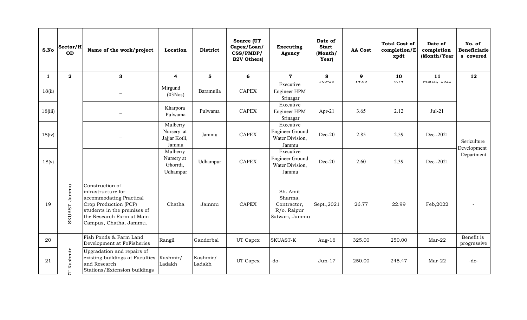| S.No         | Sector/H<br><b>OD</b> | Name of the work/project                                                                                                                                                        | Location                                         | <b>District</b>    | Source (UT<br>Capex/Loan/<br>CSS/PMDP/<br><b>B2V Others)</b> | <b>Executing</b><br>Agency                                          | Date of<br><b>Start</b><br>(Month/<br>Year)         | <b>AA Cost</b> | <b>Total Cost of</b><br>completion/E<br>xpdt | Date of<br>completion<br>(Month/Year | No. of<br><b>Beneficiarie</b><br>s covered |
|--------------|-----------------------|---------------------------------------------------------------------------------------------------------------------------------------------------------------------------------|--------------------------------------------------|--------------------|--------------------------------------------------------------|---------------------------------------------------------------------|-----------------------------------------------------|----------------|----------------------------------------------|--------------------------------------|--------------------------------------------|
| $\mathbf{1}$ | $\mathbf{2}$          | 3                                                                                                                                                                               | $\overline{\mathbf{4}}$                          | $5\phantom{1}$     | 6                                                            | $\mathbf 7$                                                         | 8                                                   | $\mathbf{9}$   | 10                                           | 11                                   | 12                                         |
| 18(ii)       |                       |                                                                                                                                                                                 | Mirgund<br>(03Nos)                               | Baramulla          | <b>CAPEX</b>                                                 | Executive<br>Engineer HPM<br>Srinagar                               | $1 \mathsf{U} \mathsf{U}$ - $\mathsf{L} \mathsf{U}$ | ᡏ᠇.ᡨ           | 0.7                                          | iviaiui, 2022                        |                                            |
| 18(iii)      |                       |                                                                                                                                                                                 | Kharpora<br>Pulwama                              | Pulwama            | <b>CAPEX</b>                                                 | Executive<br>Engineer HPM<br>Srinagar                               | Apr-21                                              | 3.65           | 2.12                                         | $Jul-21$                             |                                            |
| 18(iv)       |                       |                                                                                                                                                                                 | Mulberry<br>Nursery at<br>Jajjar Kotli,<br>Jammu | Jammu              | <b>CAPEX</b>                                                 | Executive<br><b>Engineer Ground</b><br>Water Division,<br>Jammu     | $Dec-20$                                            | 2.85           | 2.59                                         | Dec.-2021                            | Sericulture                                |
| 18(v)        |                       |                                                                                                                                                                                 | Mulberry<br>Nursery at<br>Ghorrdi,<br>Udhampur   | Udhampur           | <b>CAPEX</b>                                                 | Executive<br><b>Engineer Ground</b><br>Water Division,<br>Jammu     | $Dec-20$                                            | 2.60           | 2.39                                         | Dec.-2021                            | Development<br>Department                  |
| 19           | SKUAST-Jammu          | Construction of<br>infrastructure for<br>accommodating Practical<br>Crop Production (PCP)<br>students in the premises of<br>the Research Farm at Main<br>Campus, Chatha, Jammu. | Chatha                                           | Jammu              | <b>CAPEX</b>                                                 | Sh. Amit<br>Sharma,<br>Contractor,<br>R/o. Raipur<br>Satwari, Jammu | Sept., 2021                                         | 26.77          | 22.99                                        | Feb, 2022                            |                                            |
| 20           |                       | Fish Ponds & Farm Land<br>Development at FoFisheries                                                                                                                            | Rangil                                           | Ganderbal          | UT Capex                                                     | <b>SKUAST-K</b>                                                     | Aug- $16$                                           | 325.00         | 250.00                                       | $Mar-22$                             | Benefit is<br>progressive                  |
| 21           | T-Kashmir             | Upgradation and repairs of<br>existing buildings at Faculties<br>and Research<br>Stations/Extension buildings                                                                   | Kashmir/<br>Ladakh                               | Kashmir/<br>Ladakh | UT Capex                                                     | -do-                                                                | $Jun-17$                                            | 250.00         | 245.47                                       | $Mar-22$                             | $-do-$                                     |